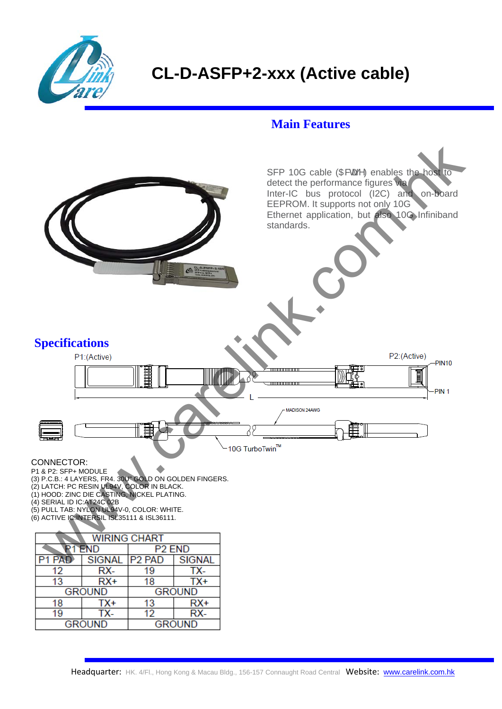

## **CL-D-ASFP+2-xxx (Active cable)**

## **Main Features**



(2) LATCH: PC RESIN UL94V, COLOR IN BLACK.

(1) HOOD: ZINC DIE CASTING, NICKEL PLATING.

(4) SERIAL ID IC:AT24C 02B

(5) PULL TAB: NYLON UL94V-0, COLOR: WHITE.

(6) ACTIVE IC:INTERSIL ISL35111 & ISL36111.

| <b>WIRING CHART</b> |        |                    |               |
|---------------------|--------|--------------------|---------------|
| <b>FND</b>          |        | P <sub>2</sub> END |               |
|                     | SIGNAL | <b>P2 PAD</b>      | <b>SIGNAL</b> |
| 12                  | RX-    | 19                 | TX-           |
| 13                  | $RX+$  | 18                 | TX+           |
| <b>GROUND</b>       |        | <b>GROUND</b>      |               |
| 18                  | TX+    | 13                 | RX+           |
| 19                  | TX-    | 12                 | RX-           |
| <b>GROUND</b>       |        | <b>GROUND</b>      |               |